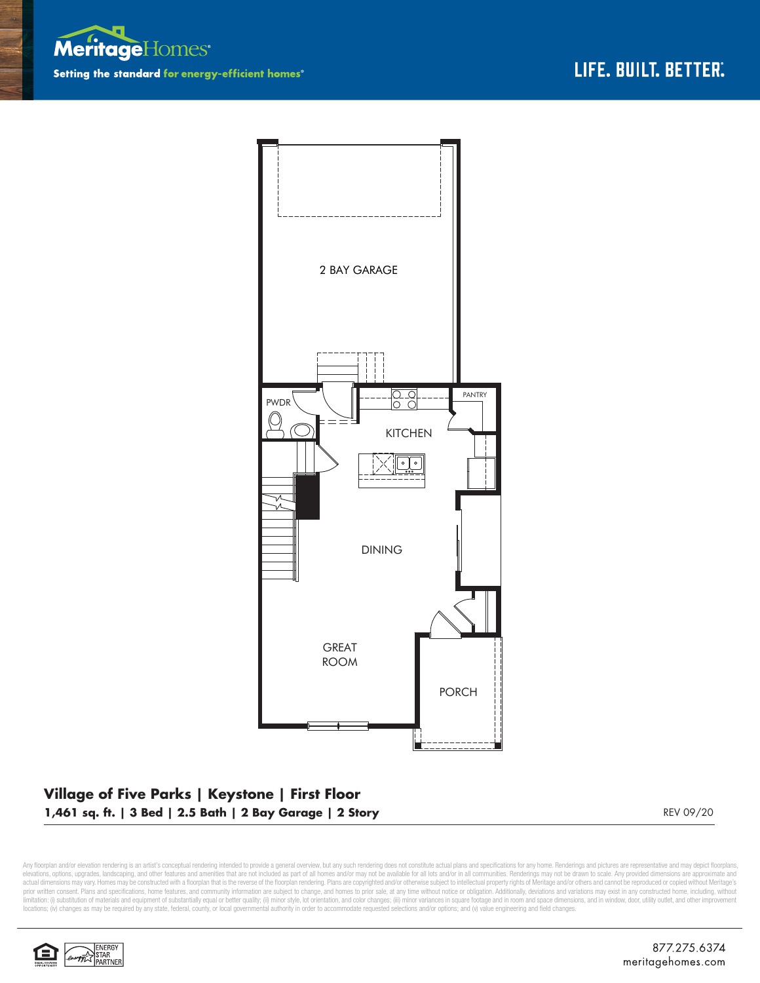



## **Village of Five Parks | Keystone | First Floor 1,461 sq. ft. | 3 Bed | 2.5 Bath | 2 Bay Garage | 2 Story** REV 09/20 REV 09/20

Any floorplan and/or elevation rendering is an artist's conceptual rendering intended to provide a general overview, but any such rendering does not constitute actual plans and specifications for any home. Renderings and p elevations, options, upgrades, landscaping, and other features and amenities that are not included as part of all homes and/or may not be available for all lots and/or in all communities. Renderings may not be drawn to sca limitation: (i) substitution of materials and equipment of substantially equal or better quality; (ii) minor style, lot orientation, and color changes; (iii) minor variances in square footage and in room and space dimensio locations; (iv) changes as may be required by any state, federal, county, or local governmental authority in order to accommodate requested selections and/or options; and (v) value engineering and field changes.

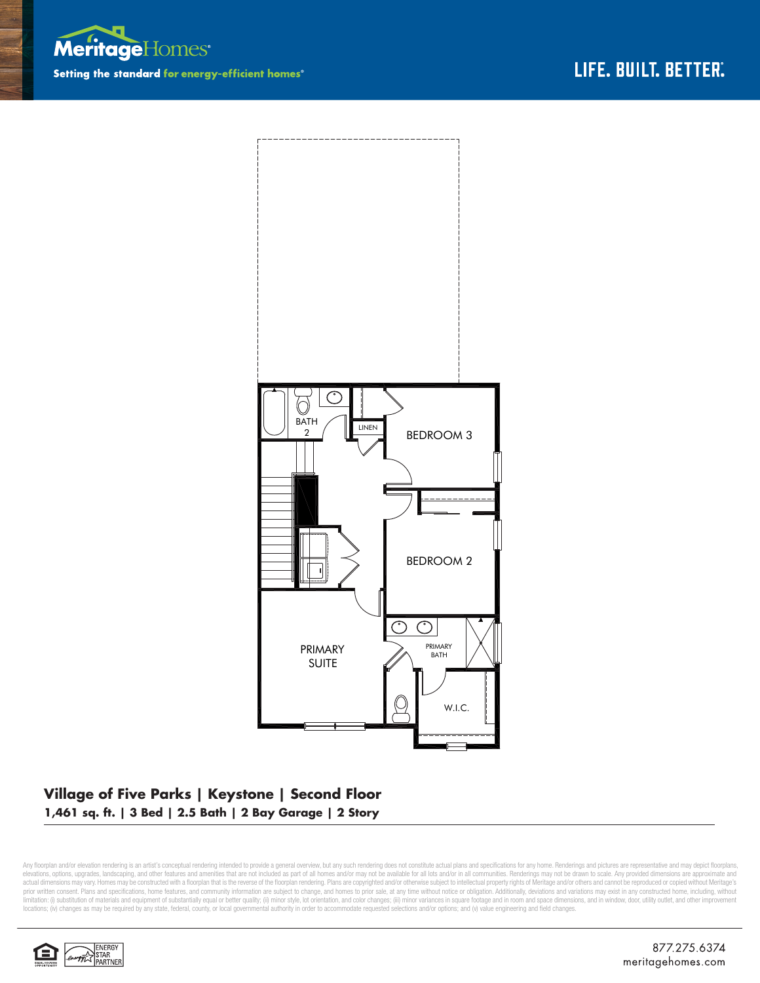



## **Village of Five Parks | Keystone | Second Floor 1,461 sq. ft. | 3 Bed | 2.5 Bath | 2 Bay Garage | 2 Story**

Any floorplan and/or elevation rendering is an artist's conceptual rendering intended to provide a general overview, but any such rendering does not constitute actual plans and specifications for any home. Renderings and p elevations, options, upgrades, landscaping, and other features and amenities that are not included as part of all homes and/or may not be available for all lots and/or in all communities. Renderings may not be drawn to sca limitation: (i) substitution of materials and equipment of substantially equal or better quality; (ii) minor style, lot orientation, and color changes; (iii) minor variances in square footage and in room and space dimensio locations; (iv) changes as may be required by any state, federal, county, or local governmental authority in order to accommodate requested selections and/or options; and (v) value engineering and field changes.